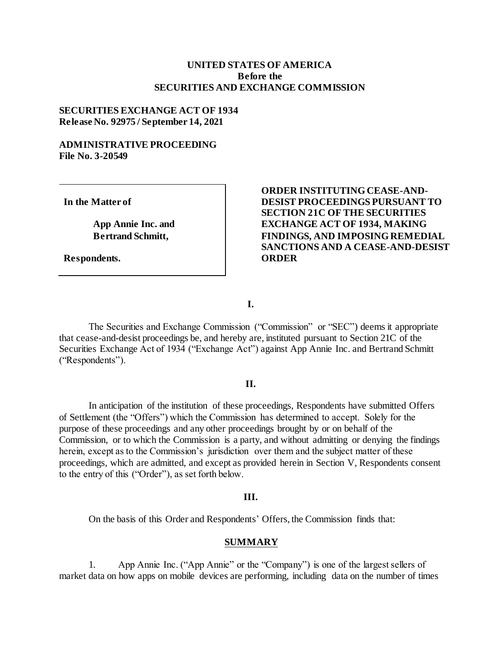### **UNITED STATES OF AMERICA Before the SECURITIES AND EXCHANGE COMMISSION**

### **SECURITIES EXCHANGE ACT OF 1934 Release No. 92975 / September 14, 2021**

## **ADMINISTRATIVE PROCEEDING File No. 3-20549**

**In the Matter of**

**App Annie Inc. and Bertrand Schmitt,**

**Respondents.**

# **ORDER INSTITUTING CEASE-AND-DESIST PROCEEDINGS PURSUANT TO SECTION 21C OF THE SECURITIES EXCHANGE ACT OF 1934, MAKING FINDINGS, AND IMPOSING REMEDIAL SANCTIONS AND A CEASE-AND-DESIST ORDER**

**I.**

The Securities and Exchange Commission ("Commission" or "SEC") deems it appropriate that cease-and-desist proceedings be, and hereby are, instituted pursuant to Section 21C of the Securities Exchange Act of 1934 ("Exchange Act") against App Annie Inc. and Bertrand Schmitt ("Respondents").

#### **II.**

In anticipation of the institution of these proceedings, Respondents have submitted Offers of Settlement (the "Offers") which the Commission has determined to accept. Solely for the purpose of these proceedings and any other proceedings brought by or on behalf of the Commission, or to which the Commission is a party, and without admitting or denying the findings herein, except as to the Commission's jurisdiction over them and the subject matter of these proceedings, which are admitted, and except as provided herein in Section V, Respondents consent to the entry of this ("Order"), as set forth below.

#### **III.**

On the basis of this Order and Respondents' Offers, the Commission finds that:

#### **SUMMARY**

1. App Annie Inc. ("App Annie" or the "Company") is one of the largest sellers of market data on how apps on mobile devices are performing, including data on the number of times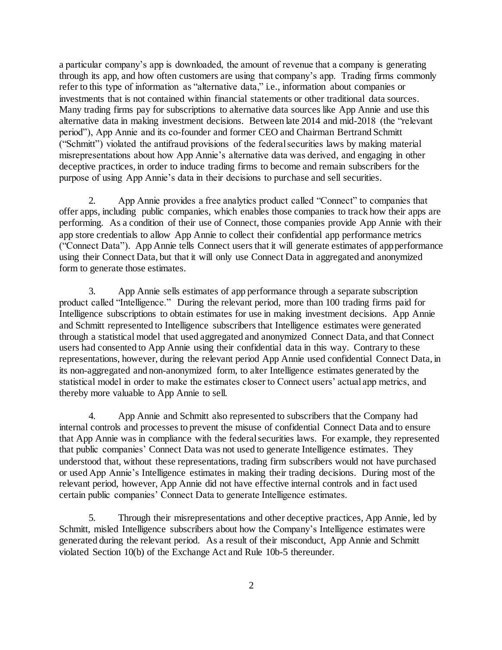a particular company's app is downloaded, the amount of revenue that a company is generating through its app, and how often customers are using that company's app. Trading firms commonly refer to this type of information as "alternative data," i.e., information about companies or investments that is not contained within financial statements or other traditional data sources. Many trading firms pay for subscriptions to alternative data sources like App Annie and use this alternative data in making investment decisions. Between late 2014 and mid-2018 (the "relevant period"), App Annie and its co-founder and former CEO and Chairman Bertrand Schmitt ("Schmitt") violated the antifraud provisions of the federal securities laws by making material misrepresentations about how App Annie's alternative data was derived, and engaging in other deceptive practices, in order to induce trading firms to become and remain subscribers for the purpose of using App Annie's data in their decisions to purchase and sell securities.

2. App Annie provides a free analytics product called "Connect" to companies that offer apps, including public companies, which enables those companies to track how their apps are performing. As a condition of their use of Connect, those companies provide App Annie with their app store credentials to allow App Annie to collect their confidential app performance metrics ("Connect Data"). App Annie tells Connect users that it will generate estimates of appperformance using their Connect Data, but that it will only use Connect Data in aggregated and anonymized form to generate those estimates.

3. App Annie sells estimates of app performance through a separate subscription product called "Intelligence." During the relevant period, more than 100 trading firms paid for Intelligence subscriptions to obtain estimates for use in making investment decisions. App Annie and Schmitt represented to Intelligence subscribers that Intelligence estimates were generated through a statistical model that used aggregated and anonymized Connect Data, and that Connect users had consented to App Annie using their confidential data in this way. Contrary to these representations, however, during the relevant period App Annie used confidential Connect Data, in its non-aggregated and non-anonymized form, to alter Intelligence estimates generated by the statistical model in order to make the estimates closer to Connect users' actual app metrics, and thereby more valuable to App Annie to sell.

4. App Annie and Schmitt also represented to subscribers that the Company had internal controls and processes to prevent the misuse of confidential Connect Data and to ensure that App Annie was in compliance with the federal securities laws. For example, they represented that public companies' Connect Data was not used to generate Intelligence estimates. They understood that, without these representations, trading firm subscribers would not have purchased or used App Annie's Intelligence estimates in making their trading decisions. During most of the relevant period, however, App Annie did not have effective internal controls and in fact used certain public companies' Connect Data to generate Intelligence estimates.

5. Through their misrepresentations and other deceptive practices, App Annie, led by Schmitt, misled Intelligence subscribers about how the Company's Intelligence estimates were generated during the relevant period. As a result of their misconduct, App Annie and Schmitt violated Section 10(b) of the Exchange Act and Rule 10b-5 thereunder.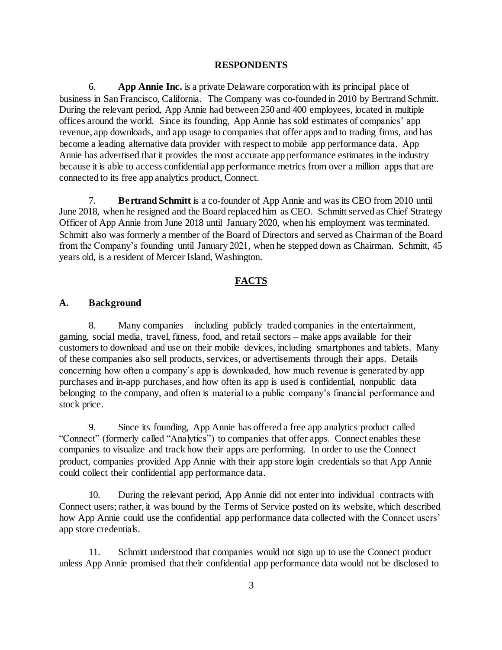#### **RESPONDENTS**

6. **App Annie Inc.** is a private Delaware corporation with its principal place of business in San Francisco, California. The Company was co-founded in 2010 by Bertrand Schmitt. During the relevant period, App Annie had between 250 and 400 employees, located in multiple offices around the world. Since its founding, App Annie has sold estimates of companies' app revenue, app downloads, and app usage to companies that offer apps and to trading firms, and has become a leading alternative data provider with respect to mobile app performance data. App Annie has advertised that it provides the most accurate app performance estimates in the industry because it is able to access confidential app performance metrics from over a million apps that are connected to its free app analytics product, Connect.

7. **Bertrand Schmitt** is a co-founder of App Annie and was its CEO from 2010 until June 2018, when he resigned and the Board replaced him as CEO. Schmitt served as Chief Strategy Officer of App Annie from June 2018 until January 2020, when his employment was terminated. Schmitt also was formerly a member of the Board of Directors and served as Chairman of the Board from the Company's founding until January 2021, when he stepped down as Chairman. Schmitt, 45 years old, is a resident of Mercer Island, Washington.

#### **FACTS**

#### **A. Background**

8. Many companies – including publicly traded companies in the entertainment, gaming, social media, travel, fitness, food, and retail sectors – make apps available for their customers to download and use on their mobile devices, including smartphones and tablets. Many of these companies also sell products, services, or advertisements through their apps. Details concerning how often a company's app is downloaded, how much revenue is generated by app purchases and in-app purchases, and how often its app is used is confidential, nonpublic data belonging to the company, and often is material to a public company's financial performance and stock price.

9. Since its founding, App Annie has offered a free app analytics product called "Connect" (formerly called "Analytics") to companies that offer apps. Connect enables these companies to visualize and track how their apps are performing. In order to use the Connect product, companies provided App Annie with their app store login credentials so that App Annie could collect their confidential app performance data.

10. During the relevant period, App Annie did not enter into individual contracts with Connect users; rather, it was bound by the Terms of Service posted on its website, which described how App Annie could use the confidential app performance data collected with the Connect users' app store credentials.

11. Schmitt understood that companies would not sign up to use the Connect product unless App Annie promised that their confidential app performance data would not be disclosed to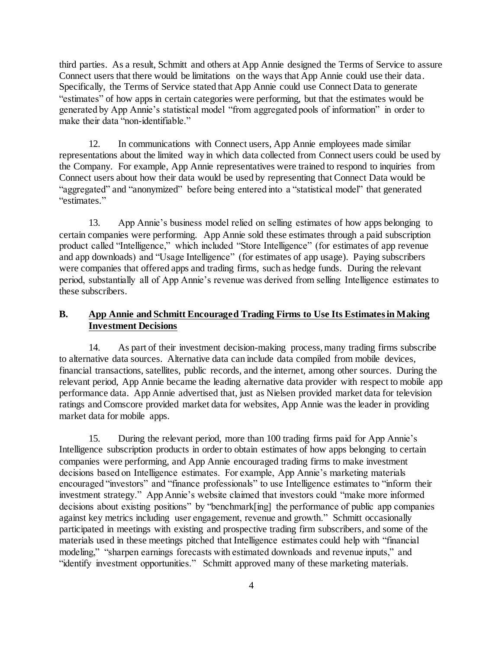third parties. As a result, Schmitt and others at App Annie designed the Terms of Service to assure Connect users that there would be limitations on the ways that App Annie could use their data. Specifically, the Terms of Service stated that App Annie could use Connect Data to generate "estimates" of how apps in certain categories were performing, but that the estimates would be generated by App Annie's statistical model "from aggregated pools of information" in order to make their data "non-identifiable."

12. In communications with Connect users, App Annie employees made similar representations about the limited way in which data collected from Connect users could be used by the Company. For example, App Annie representatives were trained to respond to inquiries from Connect users about how their data would be used by representing that Connect Data would be "aggregated" and "anonymized" before being entered into a "statistical model" that generated "estimates."

13. App Annie's business model relied on selling estimates of how apps belonging to certain companies were performing. App Annie sold these estimates through a paid subscription product called "Intelligence," which included "Store Intelligence" (for estimates of app revenue and app downloads) and "Usage Intelligence" (for estimates of app usage). Paying subscribers were companies that offered apps and trading firms, such as hedge funds. During the relevant period, substantially all of App Annie's revenue was derived from selling Intelligence estimates to these subscribers.

# **B. App Annie and Schmitt Encouraged Trading Firms to Use Its Estimates in Making Investment Decisions**

14. As part of their investment decision-making process, many trading firms subscribe to alternative data sources. Alternative data can include data compiled from mobile devices, financial transactions, satellites, public records, and the internet, among other sources. During the relevant period, App Annie became the leading alternative data provider with respect to mobile app performance data. App Annie advertised that, just as Nielsen provided market data for television ratings and Comscore provided market data for websites, App Annie was the leader in providing market data for mobile apps.

15. During the relevant period, more than 100 trading firms paid for App Annie's Intelligence subscription products in order to obtain estimates of how apps belonging to certain companies were performing, and App Annie encouraged trading firms to make investment decisions based on Intelligence estimates. For example, App Annie's marketing materials encouraged "investors" and "finance professionals" to use Intelligence estimates to "inform their investment strategy." App Annie's website claimed that investors could "make more informed decisions about existing positions" by "benchmark[ing] the performance of public app companies against key metrics including user engagement, revenue and growth." Schmitt occasionally participated in meetings with existing and prospective trading firm subscribers, and some of the materials used in these meetings pitched that Intelligence estimates could help with "financial modeling," "sharpen earnings forecasts with estimated downloads and revenue inputs," and "identify investment opportunities." Schmitt approved many of these marketing materials.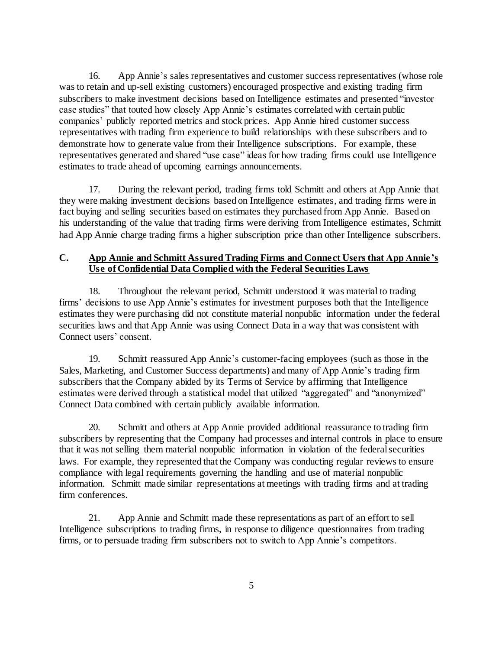16. App Annie's sales representatives and customer success representatives (whose role was to retain and up-sell existing customers) encouraged prospective and existing trading firm subscribers to make investment decisions based on Intelligence estimates and presented "investor case studies" that touted how closely App Annie's estimates correlated with certain public companies' publicly reported metrics and stock prices. App Annie hired customer success representatives with trading firm experience to build relationships with these subscribers and to demonstrate how to generate value from their Intelligence subscriptions. For example, these representatives generated and shared "use case" ideas for how trading firms could use Intelligence estimates to trade ahead of upcoming earnings announcements.

17. During the relevant period, trading firms told Schmitt and others at App Annie that they were making investment decisions based on Intelligence estimates, and trading firms were in fact buying and selling securities based on estimates they purchased from App Annie. Based on his understanding of the value that trading firms were deriving from Intelligence estimates, Schmitt had App Annie charge trading firms a higher subscription price than other Intelligence subscribers.

## **C. App Annie and Schmitt Assured Trading Firms and Connect Users that App Annie's Use of Confidential Data Complied with the Federal Securities Laws**

18. Throughout the relevant period, Schmitt understood it was material to trading firms' decisions to use App Annie's estimates for investment purposes both that the Intelligence estimates they were purchasing did not constitute material nonpublic information under the federal securities laws and that App Annie was using Connect Data in a way that was consistent with Connect users' consent.

19. Schmitt reassured App Annie's customer-facing employees (such as those in the Sales, Marketing, and Customer Success departments) and many of App Annie's trading firm subscribers that the Company abided by its Terms of Service by affirming that Intelligence estimates were derived through a statistical model that utilized "aggregated" and "anonymized" Connect Data combined with certain publicly available information.

20. Schmitt and others at App Annie provided additional reassurance to trading firm subscribers by representing that the Company had processes and internal controls in place to ensure that it was not selling them material nonpublic information in violation of the federal securities laws. For example, they represented that the Company was conducting regular reviews to ensure compliance with legal requirements governing the handling and use of material nonpublic information. Schmitt made similar representations at meetings with trading firms and at trading firm conferences.

21. App Annie and Schmitt made these representations as part of an effort to sell Intelligence subscriptions to trading firms, in response to diligence questionnaires from trading firms, or to persuade trading firm subscribers not to switch to App Annie's competitors.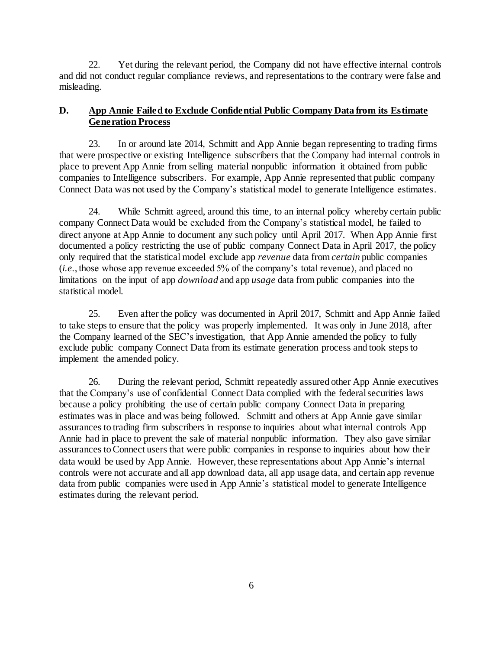22. Yet during the relevant period, the Company did not have effective internal controls and did not conduct regular compliance reviews, and representations to the contrary were false and misleading.

# **D. App Annie Failed to Exclude Confidential Public Company Data from its Estimate Generation Process**

23. In or around late 2014, Schmitt and App Annie began representing to trading firms that were prospective or existing Intelligence subscribers that the Company had internal controls in place to prevent App Annie from selling material nonpublic information it obtained from public companies to Intelligence subscribers. For example, App Annie represented that public company Connect Data was not used by the Company's statistical model to generate Intelligence estimates.

24. While Schmitt agreed, around this time, to an internal policy whereby certain public company Connect Data would be excluded from the Company's statistical model, he failed to direct anyone at App Annie to document any such policy until April 2017. When App Annie first documented a policy restricting the use of public company Connect Data in April 2017, the policy only required that the statistical model exclude app *revenue* data from *certain* public companies (*i.e.*, those whose app revenue exceeded 5% of the company's total revenue), and placed no limitations on the input of app *download* and app *usage* data from public companies into the statistical model.

25. Even after the policy was documented in April 2017, Schmitt and App Annie failed to take steps to ensure that the policy was properly implemented. It was only in June 2018, after the Company learned of the SEC's investigation, that App Annie amended the policy to fully exclude public company Connect Data from its estimate generation process and took steps to implement the amended policy.

26. During the relevant period, Schmitt repeatedly assured other App Annie executives that the Company's use of confidential Connect Data complied with the federal securities laws because a policy prohibiting the use of certain public company Connect Data in preparing estimates was in place and was being followed. Schmitt and others at App Annie gave similar assurances to trading firm subscribers in response to inquiries about what internal controls App Annie had in place to prevent the sale of material nonpublic information. They also gave similar assurances to Connect users that were public companies in response to inquiries about how their data would be used by App Annie. However, these representations about App Annie's internal controls were not accurate and all app download data, all app usage data, and certain app revenue data from public companies were used in App Annie's statistical model to generate Intelligence estimates during the relevant period.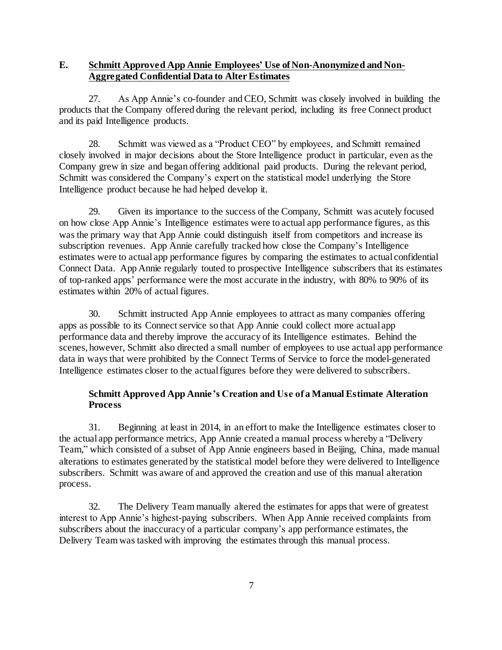## **E. Schmitt Approved App Annie Employees' Use of Non-Anonymized and Non-Aggregated Confidential Data to Alter Estimates**

27. As App Annie's co-founder and CEO, Schmitt was closely involved in building the products that the Company offered during the relevant period, including its free Connect product and its paid Intelligence products.

28. Schmitt was viewed as a "Product CEO" by employees, and Schmitt remained closely involved in major decisions about the Store Intelligence product in particular, even as the Company grew in size and began offering additional paid products. During the relevant period, Schmitt was considered the Company's expert on the statistical model underlying the Store Intelligence product because he had helped develop it.

29. Given its importance to the success of the Company, Schmitt was acutely focused on how close App Annie's Intelligence estimates were to actual app performance figures, as this was the primary way that App Annie could distinguish itself from competitors and increase its subscription revenues. App Annie carefully tracked how close the Company's Intelligence estimates were to actual app performance figures by comparing the estimates to actual confidential Connect Data. App Annie regularly touted to prospective Intelligence subscribers that its estimates of top-ranked apps' performance were the most accurate in the industry, with 80% to 90% of its estimates within 20% of actual figures.

30. Schmitt instructed App Annie employees to attract as many companies offering apps as possible to its Connect service so that App Annie could collect more actual app performance data and thereby improve the accuracy of its Intelligence estimates. Behind the scenes, however, Schmitt also directed a small number of employees to use actual app performance data in ways that were prohibited by the Connect Terms of Service to force the model-generated Intelligence estimates closer to the actual figures before they were delivered to subscribers.

# **Schmitt Approved App Annie's Creation and Use of a Manual Estimate Alteration Process**

31. Beginning at least in 2014, in an effort to make the Intelligence estimates closer to the actual app performance metrics, App Annie created a manual process whereby a "Delivery Team," which consisted of a subset of App Annie engineers based in Beijing, China, made manual alterations to estimates generated by the statistical model before they were delivered to Intelligence subscribers. Schmitt was aware of and approved the creation and use of this manual alteration process.

32. The Delivery Team manually altered the estimates for apps that were of greatest interest to App Annie's highest-paying subscribers. When App Annie received complaints from subscribers about the inaccuracy of a particular company's app performance estimates, the Delivery Team was tasked with improving the estimates through this manual process.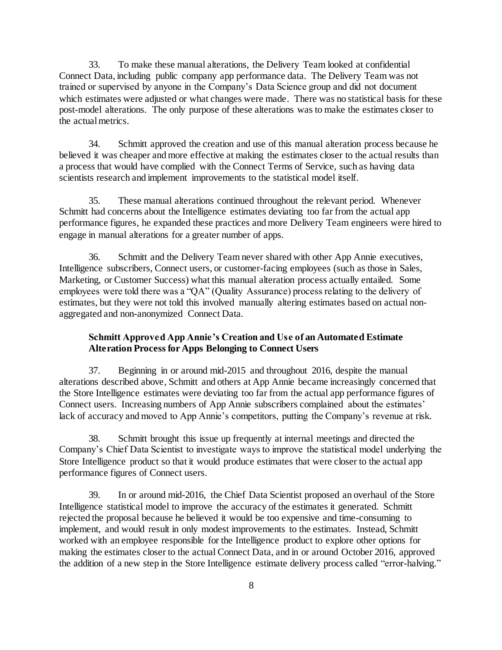33. To make these manual alterations, the Delivery Team looked at confidential Connect Data, including public company app performance data. The Delivery Team was not trained or supervised by anyone in the Company's Data Science group and did not document which estimates were adjusted or what changes were made. There was no statistical basis for these post-model alterations. The only purpose of these alterations was to make the estimates closer to the actual metrics.

34. Schmitt approved the creation and use of this manual alteration process because he believed it was cheaper and more effective at making the estimates closer to the actual results than a process that would have complied with the Connect Terms of Service, such as having data scientists research and implement improvements to the statistical model itself.

35. These manual alterations continued throughout the relevant period. Whenever Schmitt had concerns about the Intelligence estimates deviating too far from the actual app performance figures, he expanded these practices and more Delivery Team engineers were hired to engage in manual alterations for a greater number of apps.

36. Schmitt and the Delivery Team never shared with other App Annie executives, Intelligence subscribers, Connect users, or customer-facing employees (such as those in Sales, Marketing, or Customer Success) what this manual alteration process actually entailed. Some employees were told there was a "QA" (Quality Assurance) process relating to the delivery of estimates, but they were not told this involved manually altering estimates based on actual nonaggregated and non-anonymized Connect Data.

## **Schmitt Approved App Annie's Creation and Use of an Automated Estimate Alteration Process for Apps Belonging to Connect Users**

37. Beginning in or around mid-2015 and throughout 2016, despite the manual alterations described above, Schmitt and others at App Annie became increasingly concerned that the Store Intelligence estimates were deviating too far from the actual app performance figures of Connect users. Increasing numbers of App Annie subscribers complained about the estimates' lack of accuracy and moved to App Annie's competitors, putting the Company's revenue at risk.

38. Schmitt brought this issue up frequently at internal meetings and directed the Company's Chief Data Scientist to investigate ways to improve the statistical model underlying the Store Intelligence product so that it would produce estimates that were closer to the actual app performance figures of Connect users.

39. In or around mid-2016, the Chief Data Scientist proposed an overhaul of the Store Intelligence statistical model to improve the accuracy of the estimates it generated. Schmitt rejected the proposal because he believed it would be too expensive and time-consuming to implement, and would result in only modest improvements to the estimates. Instead, Schmitt worked with an employee responsible for the Intelligence product to explore other options for making the estimates closer to the actual Connect Data, and in or around October 2016, approved the addition of a new step in the Store Intelligence estimate delivery process called "error-halving."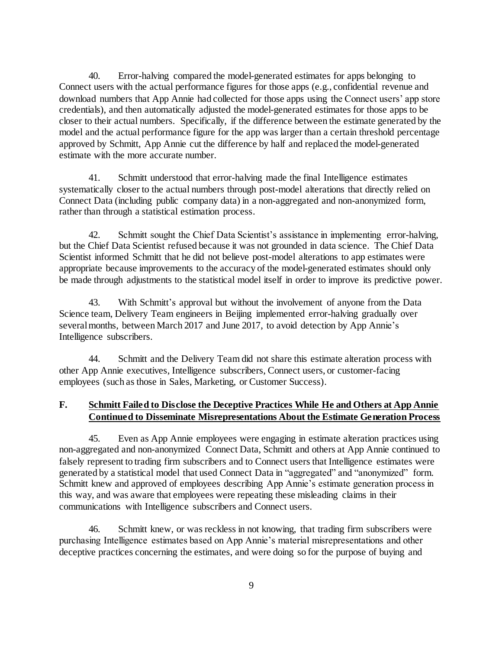40. Error-halving compared the model-generated estimates for apps belonging to Connect users with the actual performance figures for those apps (e.g., confidential revenue and download numbers that App Annie had collected for those apps using the Connect users' app store credentials), and then automatically adjusted the model-generated estimates for those apps to be closer to their actual numbers. Specifically, if the difference between the estimate generated by the model and the actual performance figure for the app was larger than a certain threshold percentage approved by Schmitt, App Annie cut the difference by half and replaced the model-generated estimate with the more accurate number.

41. Schmitt understood that error-halving made the final Intelligence estimates systematically closer to the actual numbers through post-model alterations that directly relied on Connect Data (including public company data) in a non-aggregated and non-anonymized form, rather than through a statistical estimation process.

42. Schmitt sought the Chief Data Scientist's assistance in implementing error-halving, but the Chief Data Scientist refused because it was not grounded in data science. The Chief Data Scientist informed Schmitt that he did not believe post-model alterations to app estimates were appropriate because improvements to the accuracy of the model-generated estimates should only be made through adjustments to the statistical model itself in order to improve its predictive power.

43. With Schmitt's approval but without the involvement of anyone from the Data Science team, Delivery Team engineers in Beijing implemented error-halving gradually over several months, between March 2017 and June 2017, to avoid detection by App Annie's Intelligence subscribers.

44. Schmitt and the Delivery Team did not share this estimate alteration process with other App Annie executives, Intelligence subscribers, Connect users, or customer-facing employees (such as those in Sales, Marketing, or Customer Success).

# **F. Schmitt Failed to Disclose the Deceptive Practices While He and Others at App Annie Continued to Disseminate Misrepresentations About the Estimate Generation Process**

45. Even as App Annie employees were engaging in estimate alteration practices using non-aggregated and non-anonymized Connect Data, Schmitt and others at App Annie continued to falsely represent to trading firm subscribers and to Connect users that Intelligence estimates were generated by a statistical model that used Connect Data in "aggregated" and "anonymized" form. Schmitt knew and approved of employees describing App Annie's estimate generation process in this way, and was aware that employees were repeating these misleading claims in their communications with Intelligence subscribers and Connect users.

46. Schmitt knew, or was reckless in not knowing, that trading firm subscribers were purchasing Intelligence estimates based on App Annie's material misrepresentations and other deceptive practices concerning the estimates, and were doing so for the purpose of buying and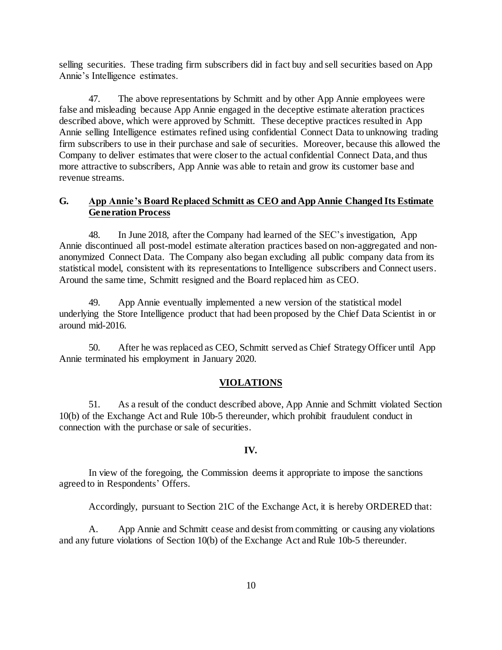selling securities. These trading firm subscribers did in fact buy and sell securities based on App Annie's Intelligence estimates.

47. The above representations by Schmitt and by other App Annie employees were false and misleading because App Annie engaged in the deceptive estimate alteration practices described above, which were approved by Schmitt. These deceptive practices resulted in App Annie selling Intelligence estimates refined using confidential Connect Data to unknowing trading firm subscribers to use in their purchase and sale of securities. Moreover, because this allowed the Company to deliver estimates that were closer to the actual confidential Connect Data, and thus more attractive to subscribers, App Annie was able to retain and grow its customer base and revenue streams.

## **G. App Annie's Board Replaced Schmitt as CEO and App Annie Changed Its Estimate Generation Process**

48. In June 2018, after the Company had learned of the SEC's investigation, App Annie discontinued all post-model estimate alteration practices based on non-aggregated and nonanonymized Connect Data. The Company also began excluding all public company data from its statistical model, consistent with its representations to Intelligence subscribers and Connect users. Around the same time, Schmitt resigned and the Board replaced him as CEO.

49. App Annie eventually implemented a new version of the statistical model underlying the Store Intelligence product that had been proposed by the Chief Data Scientist in or around mid-2016.

50. After he was replaced as CEO, Schmitt served as Chief Strategy Officer until App Annie terminated his employment in January 2020.

#### **VIOLATIONS**

51. As a result of the conduct described above, App Annie and Schmitt violated Section 10(b) of the Exchange Act and Rule 10b-5 thereunder, which prohibit fraudulent conduct in connection with the purchase or sale of securities.

#### **IV.**

In view of the foregoing, the Commission deems it appropriate to impose the sanctions agreed to in Respondents' Offers.

Accordingly, pursuant to Section 21C of the Exchange Act, it is hereby ORDERED that:

A. App Annie and Schmitt cease and desist from committing or causing any violations and any future violations of Section 10(b) of the Exchange Act and Rule 10b-5 thereunder.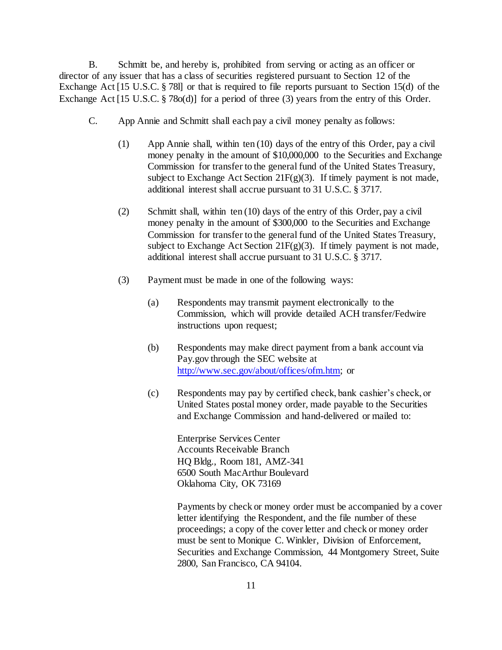B. Schmitt be, and hereby is, prohibited from serving or acting as an officer or director of any issuer that has a class of securities registered pursuant to Section 12 of the Exchange Act [15 U.S.C. § 78l] or that is required to file reports pursuant to Section 15(d) of the Exchange Act [15 U.S.C. § 78o(d)] for a period of three (3) years from the entry of this Order.

- C. App Annie and Schmitt shall each pay a civil money penalty as follows:
	- (1) App Annie shall, within ten (10) days of the entry of this Order, pay a civil money penalty in the amount of \$10,000,000 to the Securities and Exchange Commission for transfer to the general fund of the United States Treasury, subject to Exchange Act Section 21F(g)(3). If timely payment is not made, additional interest shall accrue pursuant to 31 U.S.C. § 3717.
	- (2) Schmitt shall, within ten (10) days of the entry of this Order, pay a civil money penalty in the amount of \$300,000 to the Securities and Exchange Commission for transfer to the general fund of the United States Treasury, subject to Exchange Act Section 21 $F(g)(3)$ . If timely payment is not made, additional interest shall accrue pursuant to 31 U.S.C. § 3717.
	- (3) Payment must be made in one of the following ways:
		- (a) Respondents may transmit payment electronically to the Commission, which will provide detailed ACH transfer/Fedwire instructions upon request;
		- (b) Respondents may make direct payment from a bank account via Pay.gov through the SEC website at [http://www.sec.gov/about/offices/ofm.htm;](http://www.sec.gov/about/offices/ofm.htm) or
		- (c) Respondents may pay by certified check, bank cashier's check, or United States postal money order, made payable to the Securities and Exchange Commission and hand-delivered or mailed to:

Enterprise Services Center Accounts Receivable Branch HQ Bldg., Room 181, AMZ-341 6500 South MacArthur Boulevard Oklahoma City, OK 73169

Payments by check or money order must be accompanied by a cover letter identifying the Respondent, and the file number of these proceedings; a copy of the cover letter and check or money order must be sent to Monique C. Winkler, Division of Enforcement, Securities and Exchange Commission, 44 Montgomery Street, Suite 2800, San Francisco, CA 94104.